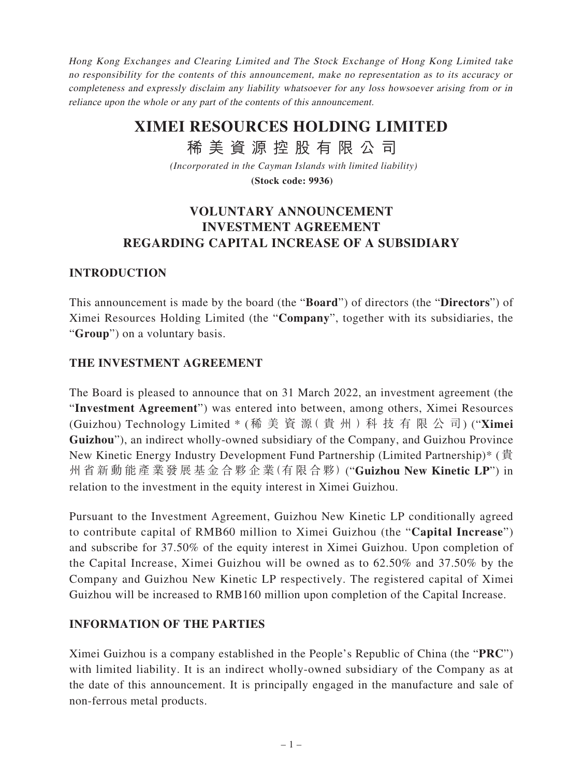Hong Kong Exchanges and Clearing Limited and The Stock Exchange of Hong Kong Limited take no responsibility for the contents of this announcement, make no representation as to its accuracy or completeness and expressly disclaim any liability whatsoever for any loss howsoever arising from or in reliance upon the whole or any part of the contents of this announcement.

# **XIMEI RESOURCES HOLDING LIMITED**

稀 美 資 源 控 股 有 限 公 司

*(Incorporated in the Cayman Islands with limited liability)*

**(Stock code: 9936)**

### **VOLUNTARY ANNOUNCEMENT INVESTMENT AGREEMENT REGARDING CAPITAL INCREASE OF A SUBSIDIARY**

### **INTRODUCTION**

This announcement is made by the board (the "**Board**") of directors (the "**Directors**") of Ximei Resources Holding Limited (the "**Company**", together with its subsidiaries, the "**Group**") on a voluntary basis.

#### **THE INVESTMENT AGREEMENT**

The Board is pleased to announce that on 31 March 2022, an investment agreement (the "**Investment Agreement**") was entered into between, among others, Ximei Resources (Guizhou) Technology Limited \* (稀美資源( 貴 州 )科技有限公司) ("**Ximei Guizhou**"), an indirect wholly-owned subsidiary of the Company, and Guizhou Province New Kinetic Energy Industry Development Fund Partnership (Limited Partnership)\* (貴 州省新動能產業發展基金合夥企業(有限合夥) ("**Guizhou New Kinetic LP**") in relation to the investment in the equity interest in Ximei Guizhou.

Pursuant to the Investment Agreement, Guizhou New Kinetic LP conditionally agreed to contribute capital of RMB60 million to Ximei Guizhou (the "**Capital Increase**") and subscribe for 37.50% of the equity interest in Ximei Guizhou. Upon completion of the Capital Increase, Ximei Guizhou will be owned as to 62.50% and 37.50% by the Company and Guizhou New Kinetic LP respectively. The registered capital of Ximei Guizhou will be increased to RMB160 million upon completion of the Capital Increase.

#### **INFORMATION OF THE PARTIES**

Ximei Guizhou is a company established in the People's Republic of China (the "**PRC**") with limited liability. It is an indirect wholly-owned subsidiary of the Company as at the date of this announcement. It is principally engaged in the manufacture and sale of non-ferrous metal products.